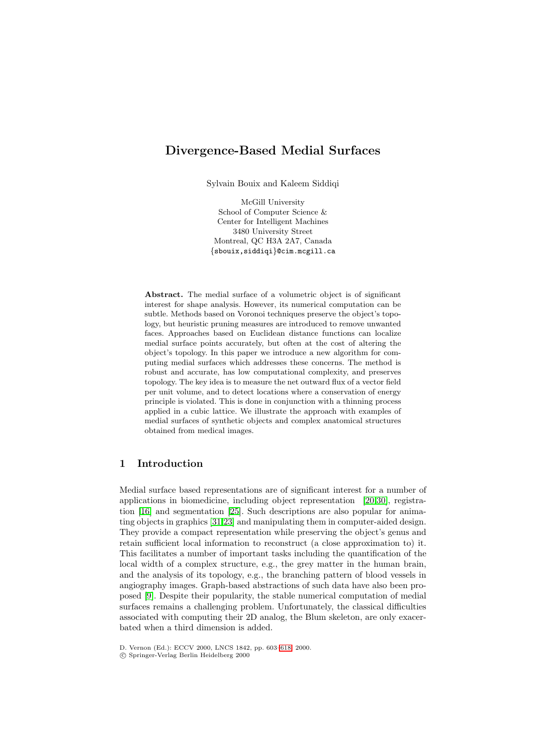# **Divergence-Based Medial Surfaces**

Sylvain Bouix and Kaleem Siddiqi

McGill University School of Computer Science & Center for Intelligent Machines 3480 University Street Montreal, QC H3A 2A7, Canada {sbouix,siddiqi}@cim.mcgill.ca

**Abstract.** The medial surface of a volumetric object is of significant interest for shape analysis. However, its numerical computation can be subtle. Methods based on Voronoi techniques preserve the object's topology, but heuristic pruning measures are introduced to remove unwanted faces. Approaches based on Euclidean distance functions can localize medial surface points accurately, but often at the cost of altering the object's topology. In this paper we introduce a new algorithm for computing medial surfaces which addresses these concerns. The method is robust and accurate, has low computational complexity, and preserves topology. The key idea is to measure the net outward flux of a vector field per unit volume, and to detect locations where a conservation of energy principle is violated. This is done in conjunction with a thinning process applied in a cubic lattice. We illustrate the approach with examples of medial surfaces of synthetic objects and complex anatomical structures obtained from medical images.

# **1 Introduction**

Medial surface based representations are of significant interest for a number of applications in biomedicine, including object representation [\[20,30\]](#page-15-0), registration [\[16\]](#page-14-0) and segmentation [\[25\]](#page-15-0). Such descriptions are also popular for animating objects in graphics [\[31,23\]](#page-15-0) and manipulating them in computer-aided design. They provide a compact representation while preserving the object's genus and retain sufficient local information to reconstruct (a close approximation to) it. This facilitates a number of important tasks including the quantification of the local width of a complex structure, e.g., the grey matter in the human brain, and the analysis of its topology, e.g., the branching pattern of blood vessels in angiography images. Graph-based abstractions of such data have also been proposed [\[9\]](#page-14-0). Despite their popularity, the stable numerical computation of medial surfaces remains a challenging problem. Unfortunately, the classical difficulties associated with computing their 2D analog, the Blum skeleton, are only exacerbated when a third dimension is added.

D. Vernon (Ed.): ECCV 2000, LNCS 1842, pp. 603[–618,](#page-15-0) 2000.

c Springer-Verlag Berlin Heidelberg 2000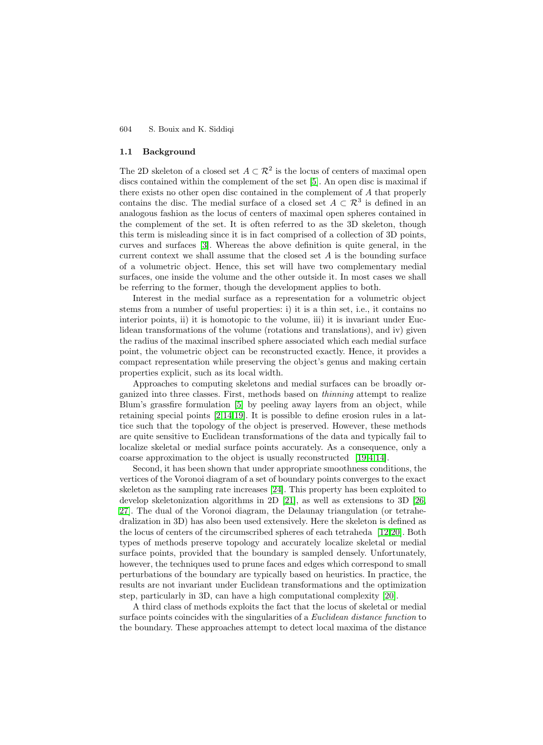#### **1.1 Background**

The 2D skeleton of a closed set  $A \subset \mathcal{R}^2$  is the locus of centers of maximal open discs contained within the complement of the set [\[5\]](#page-14-0). An open disc is maximal if there exists no other open disc contained in the complement of A that properly contains the disc. The medial surface of a closed set  $A \subset \mathbb{R}^3$  is defined in an analogous fashion as the locus of centers of maximal open spheres contained in the complement of the set. It is often referred to as the 3D skeleton, though this term is misleading since it is in fact comprised of a collection of 3D points, curves and surfaces [\[3\]](#page-14-0). Whereas the above definition is quite general, in the current context we shall assume that the closed set  $A$  is the bounding surface of a volumetric object. Hence, this set will have two complementary medial surfaces, one inside the volume and the other outside it. In most cases we shall be referring to the former, though the development applies to both.

Interest in the medial surface as a representation for a volumetric object stems from a number of useful properties: i) it is a thin set, i.e., it contains no interior points, ii) it is homotopic to the volume, iii) it is invariant under Euclidean transformations of the volume (rotations and translations), and iv) given the radius of the maximal inscribed sphere associated which each medial surface point, the volumetric object can be reconstructed exactly. Hence, it provides a compact representation while preserving the object's genus and making certain properties explicit, such as its local width.

Approaches to computing skeletons and medial surfaces can be broadly organized into three classes. First, methods based on thinning attempt to realize Blum's grassfire formulation [\[5\]](#page-14-0) by peeling away layers from an object, while retaining special points [\[2,14,19\]](#page-14-0). It is possible to define erosion rules in a lattice such that the topology of the object is preserved. However, these methods are quite sensitive to Euclidean transformations of the data and typically fail to localize skeletal or medial surface points accurately. As a consequence, only a coarse approximation to the object is usually reconstructed [\[19,4,14\]](#page-14-0).

Second, it has been shown that under appropriate smoothness conditions, the vertices of the Voronoi diagram of a set of boundary points converges to the exact skeleton as the sampling rate increases [\[24\]](#page-15-0). This property has been exploited to develop skeletonization algorithms in 2D [\[21\]](#page-15-0), as well as extensions to 3D [\[26,](#page-15-0) [27\]](#page-15-0). The dual of the Voronoi diagram, the Delaunay triangulation (or tetrahedralization in 3D) has also been used extensively. Here the skeleton is defined as the locus of centers of the circumscribed spheres of each tetraheda  $[12,20]$  $[12,20]$ . Both types of methods preserve topology and accurately localize skeletal or medial surface points, provided that the boundary is sampled densely. Unfortunately, however, the techniques used to prune faces and edges which correspond to small perturbations of the boundary are typically based on heuristics. In practice, the results are not invariant under Euclidean transformations and the optimization step, particularly in 3D, can have a high computational complexity [\[20\]](#page-15-0).

A third class of methods exploits the fact that the locus of skeletal or medial surface points coincides with the singularities of a *Euclidean distance function* to the boundary. These approaches attempt to detect local maxima of the distance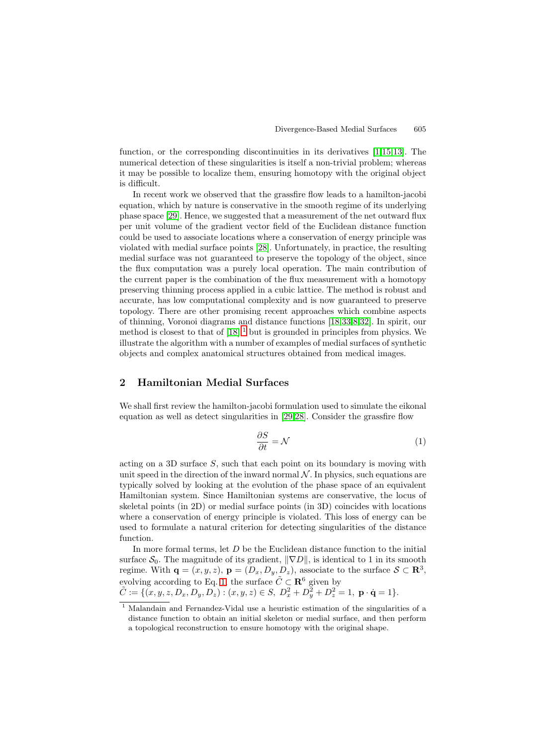<span id="page-2-0"></span>function, or the corresponding discontinuities in its derivatives [\[1,15,13\]](#page-14-0). The numerical detection of these singularities is itself a non-trivial problem; whereas it may be possible to localize them, ensuring homotopy with the original object is difficult.

In recent work we observed that the grassfire flow leads to a hamilton-jacobi equation, which by nature is conservative in the smooth regime of its underlying phase space [\[29\]](#page-15-0). Hence, we suggested that a measurement of the net outward flux per unit volume of the gradient vector field of the Euclidean distance function could be used to associate locations where a conservation of energy principle was violated with medial surface points [\[28\]](#page-15-0). Unfortunately, in practice, the resulting medial surface was not guaranteed to preserve the topology of the object, since the flux computation was a purely local operation. The main contribution of the current paper is the combination of the flux measurement with a homotopy preserving thinning process applied in a cubic lattice. The method is robust and accurate, has low computational complexity and is now guaranteed to preserve topology. There are other promising recent approaches which combine aspects of thinning, Voronoi diagrams and distance functions [\[18](#page-14-0)[,33](#page-15-0)[,8](#page-14-0)[,32\]](#page-15-0). In spirit, our method is closest to that of  $[18]$ <sup>1</sup> but is grounded in principles from physics. We illustrate the algorithm with a number of examples of medial surfaces of synthetic objects and complex anatomical structures obtained from medical images.

### **2 Hamiltonian Medial Surfaces**

We shall first review the hamilton-jacobi formulation used to simulate the eikonal equation as well as detect singularities in [\[29,28\]](#page-15-0). Consider the grassfire flow

$$
\frac{\partial S}{\partial t} = \mathcal{N} \tag{1}
$$

acting on a 3D surface S, such that each point on its boundary is moving with unit speed in the direction of the inward normal  $N$ . In physics, such equations are typically solved by looking at the evolution of the phase space of an equivalent Hamiltonian system. Since Hamiltonian systems are conservative, the locus of skeletal points (in 2D) or medial surface points (in 3D) coincides with locations where a conservation of energy principle is violated. This loss of energy can be used to formulate a natural criterion for detecting singularities of the distance function.

In more formal terms, let D be the Euclidean distance function to the initial surface  $S_0$ . The magnitude of its gradient,  $\|\nabla D\|$ , is identical to 1 in its smooth regime. With  $\mathbf{q} = (x, y, z)$ ,  $\mathbf{p} = (D_x, D_y, D_z)$ , associate to the surface  $S \subset \mathbb{R}^3$ , evolving according to Eq. 1, the surface  $\tilde{C} \subset \mathbb{R}^6$  given by  $\tilde{C} := \{ (x, y, z, D_x, D_y, D_z) : (x, y, z) \in S, D_x^2 + D_y^2 + D_z^2 = 1, \mathbf{p} \cdot \dot{\mathbf{q}} = 1 \}.$ 

<sup>1</sup> Malandain and Fernandez-Vidal use a heuristic estimation of the singularities of a distance function to obtain an initial skeleton or medial surface, and then perform a topological reconstruction to ensure homotopy with the original shape.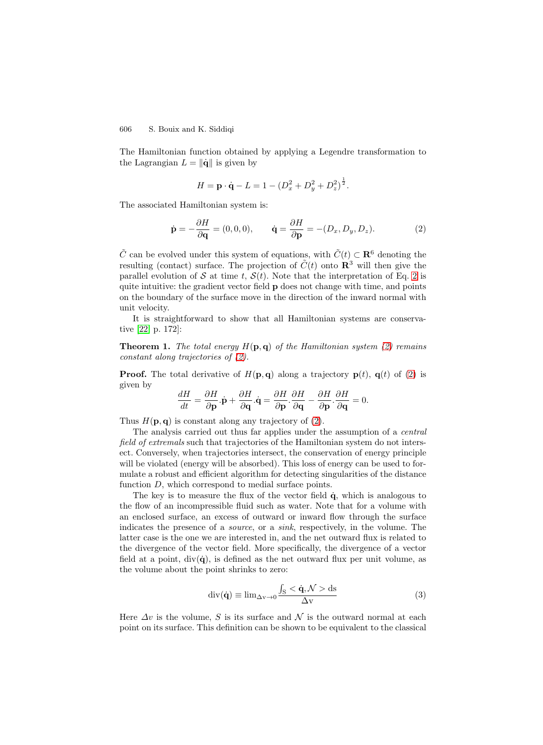<span id="page-3-0"></span>The Hamiltonian function obtained by applying a Legendre transformation to the Lagrangian  $L = ||\dot{q}||$  is given by

$$
H = \mathbf{p} \cdot \dot{\mathbf{q}} - L = 1 - (D_x^2 + D_y^2 + D_z^2)^{\frac{1}{2}}.
$$

The associated Hamiltonian system is:

$$
\dot{\mathbf{p}} = -\frac{\partial H}{\partial \mathbf{q}} = (0, 0, 0), \qquad \dot{\mathbf{q}} = \frac{\partial H}{\partial \mathbf{p}} = -(D_x, D_y, D_z). \tag{2}
$$

 $\tilde{C}$  can be evolved under this system of equations, with  $\tilde{C}(t) \subset \mathbb{R}^6$  denoting the resulting (contact) surface. The projection of  $\tilde{C}(t)$  onto  $\mathbb{R}^3$  will then give the parallel evolution of S at time t,  $S(t)$ . Note that the interpretation of Eq. 2 is quite intuitive: the gradient vector field **p** does not change with time, and points on the boundary of the surface move in the direction of the inward normal with unit velocity.

It is straightforward to show that all Hamiltonian systems are conservative [\[22,](#page-15-0) p. 172]:

**Theorem 1.** The total energy  $H(\mathbf{p}, \mathbf{q})$  of the Hamiltonian system (2) remains constant along trajectories of (2).

**Proof.** The total derivative of  $H(\mathbf{p}, \mathbf{q})$  along a trajectory  $\mathbf{p}(t)$ ,  $\mathbf{q}(t)$  of (2) is given by

$$
\frac{dH}{dt} = \frac{\partial H}{\partial \mathbf{p}} \cdot \dot{\mathbf{p}} + \frac{\partial H}{\partial \mathbf{q}} \cdot \dot{\mathbf{q}} = \frac{\partial H}{\partial \mathbf{p}} \cdot \frac{\partial H}{\partial \mathbf{q}} - \frac{\partial H}{\partial \mathbf{p}} \cdot \frac{\partial H}{\partial \mathbf{q}} = 0.
$$

Thus  $H(\mathbf{p}, \mathbf{q})$  is constant along any trajectory of (2).

The analysis carried out thus far applies under the assumption of a central field of extremals such that trajectories of the Hamiltonian system do not intersect. Conversely, when trajectories intersect, the conservation of energy principle will be violated (energy will be absorbed). This loss of energy can be used to formulate a robust and efficient algorithm for detecting singularities of the distance function D, which correspond to medial surface points.

The key is to measure the flux of the vector field **q**˙ , which is analogous to the flow of an incompressible fluid such as water. Note that for a volume with an enclosed surface, an excess of outward or inward flow through the surface indicates the presence of a source, or a sink, respectively, in the volume. The latter case is the one we are interested in, and the net outward flux is related to the divergence of the vector field. More specifically, the divergence of a vector field at a point,  $div(\dot{q})$ , is defined as the net outward flux per unit volume, as the volume about the point shrinks to zero:

$$
\operatorname{div}(\dot{\mathbf{q}}) \equiv \lim_{\Delta v \to 0} \frac{\int_{\mathbf{S}} \langle \dot{\mathbf{q}}, \mathcal{N} \rangle \, \mathrm{d}\mathbf{s}}{\Delta v} \tag{3}
$$

Here  $\Delta v$  is the volume, S is its surface and N is the outward normal at each point on its surface. This definition can be shown to be equivalent to the classical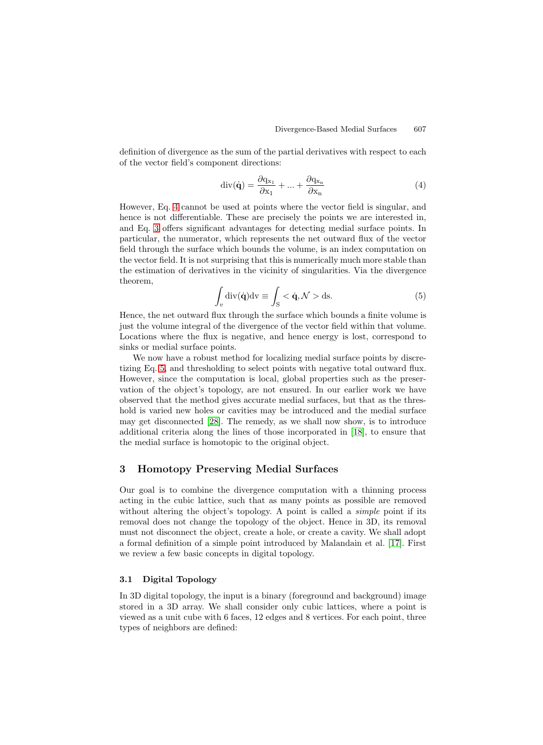<span id="page-4-0"></span>definition of divergence as the sum of the partial derivatives with respect to each of the vector field's component directions:

$$
\operatorname{div}(\dot{\mathbf{q}}) = \frac{\partial q_{x_1}}{\partial x_1} + \dots + \frac{\partial q_{x_n}}{\partial x_n} \tag{4}
$$

However, Eq. 4 cannot be used at points where the vector field is singular, and hence is not differentiable. These are precisely the points we are interested in, and Eq. [3](#page-3-0) offers significant advantages for detecting medial surface points. In particular, the numerator, which represents the net outward flux of the vector field through the surface which bounds the volume, is an index computation on the vector field. It is not surprising that this is numerically much more stable than the estimation of derivatives in the vicinity of singularities. Via the divergence theorem,

$$
\int_{v} \operatorname{div}(\dot{\mathbf{q}}) \mathrm{dv} \equiv \int_{S} <\dot{\mathbf{q}}, \mathcal{N} > \operatorname{ds}.
$$
 (5)

Hence, the net outward flux through the surface which bounds a finite volume is just the volume integral of the divergence of the vector field within that volume. Locations where the flux is negative, and hence energy is lost, correspond to sinks or medial surface points.

We now have a robust method for localizing medial surface points by discretizing Eq. 5, and thresholding to select points with negative total outward flux. However, since the computation is local, global properties such as the preservation of the object's topology, are not ensured. In our earlier work we have observed that the method gives accurate medial surfaces, but that as the threshold is varied new holes or cavities may be introduced and the medial surface may get disconnected [\[28\]](#page-15-0). The remedy, as we shall now show, is to introduce additional criteria along the lines of those incorporated in [\[18\]](#page-14-0), to ensure that the medial surface is homotopic to the original object.

## **3 Homotopy Preserving Medial Surfaces**

Our goal is to combine the divergence computation with a thinning process acting in the cubic lattice, such that as many points as possible are removed without altering the object's topology. A point is called a *simple* point if its removal does not change the topology of the object. Hence in 3D, its removal must not disconnect the object, create a hole, or create a cavity. We shall adopt a formal definition of a simple point introduced by Malandain et al. [\[17\]](#page-14-0). First we review a few basic concepts in digital topology.

#### **3.1 Digital Topology**

In 3D digital topology, the input is a binary (foreground and background) image stored in a 3D array. We shall consider only cubic lattices, where a point is viewed as a unit cube with 6 faces, 12 edges and 8 vertices. For each point, three types of neighbors are defined: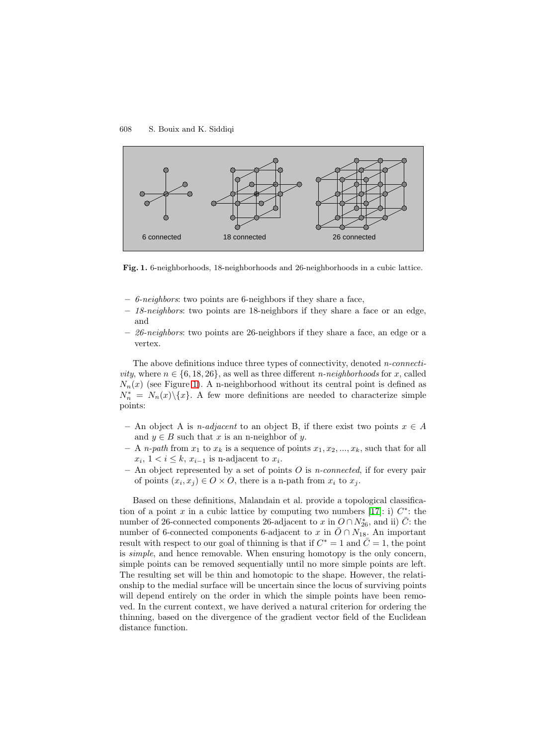

**Fig. 1.** 6-neighborhoods, 18-neighborhoods and 26-neighborhoods in a cubic lattice.

- **–** 6-neighbors: two points are 6-neighbors if they share a face,
- **–** 18-neighbors: two points are 18-neighbors if they share a face or an edge, and
- **–** 26-neighbors: two points are 26-neighbors if they share a face, an edge or a vertex.

The above definitions induce three types of connectivity, denoted *n-connectivity*, where  $n \in \{6, 18, 26\}$ , as well as three different *n*-neighborhoods for x, called  $N_n(x)$  (see Figure 1). A n-neighborhood without its central point is defined as  $N_n^* = N_n(x)\backslash\{x\}.$  A few more definitions are needed to characterize simple points:

- $-$  An object A is *n*-*adjacent* to an object B, if there exist two points  $x \in A$ and  $y \in B$  such that x is an n-neighbor of y.
- $-$  A *n-path* from  $x_1$  to  $x_k$  is a sequence of points  $x_1, x_2, ..., x_k$ , such that for all  $x_i, 1 \leq i \leq k$ ,  $x_{i-1}$  is n-adjacent to  $x_i$ .
- **–** An object represented by a set of points O is n-connected, if for every pair of points  $(x_i, x_j) \in O \times O$ , there is a n-path from  $x_i$  to  $x_j$ .

Based on these definitions, Malandain et al. provide a topological classifica-tion of a point x in a cubic lattice by computing two numbers [\[17\]](#page-14-0): i)  $C^*$ : the number of 26-connected components 26-adjacent to x in  $O \cap N^*_{26}$ , and ii)  $\bar{C}$ : the number of 6-connected components 6-adjacent to x in  $\overline{O} \cap N_{18}$ . An important result with respect to our goal of thinning is that if  $C^* = 1$  and  $\overline{C} = 1$ , the point is simple, and hence removable. When ensuring homotopy is the only concern, simple points can be removed sequentially until no more simple points are left. The resulting set will be thin and homotopic to the shape. However, the relationship to the medial surface will be uncertain since the locus of surviving points will depend entirely on the order in which the simple points have been removed. In the current context, we have derived a natural criterion for ordering the thinning, based on the divergence of the gradient vector field of the Euclidean distance function.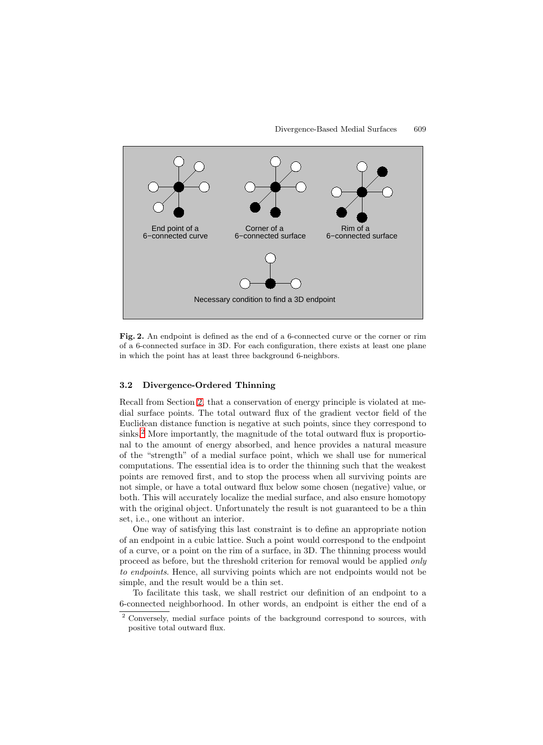<span id="page-6-0"></span>

**Fig. 2.** An endpoint is defined as the end of a 6-connected curve or the corner or rim of a 6-connected surface in 3D. For each configuration, there exists at least one plane in which the point has at least three background 6-neighbors.

#### **3.2 Divergence-Ordered Thinning**

Recall from Section [2,](#page-2-0) that a conservation of energy principle is violated at medial surface points. The total outward flux of the gradient vector field of the Euclidean distance function is negative at such points, since they correspond to sinks.<sup>2</sup> More importantly, the magnitude of the total outward flux is proportional to the amount of energy absorbed, and hence provides a natural measure of the "strength" of a medial surface point, which we shall use for numerical computations. The essential idea is to order the thinning such that the weakest points are removed first, and to stop the process when all surviving points are not simple, or have a total outward flux below some chosen (negative) value, or both. This will accurately localize the medial surface, and also ensure homotopy with the original object. Unfortunately the result is not guaranteed to be a thin set, i.e., one without an interior.

One way of satisfying this last constraint is to define an appropriate notion of an endpoint in a cubic lattice. Such a point would correspond to the endpoint of a curve, or a point on the rim of a surface, in 3D. The thinning process would proceed as before, but the threshold criterion for removal would be applied only to endpoints. Hence, all surviving points which are not endpoints would not be simple, and the result would be a thin set.

To facilitate this task, we shall restrict our definition of an endpoint to a 6-connected neighborhood. In other words, an endpoint is either the end of a

<sup>2</sup> Conversely, medial surface points of the background correspond to sources, with positive total outward flux.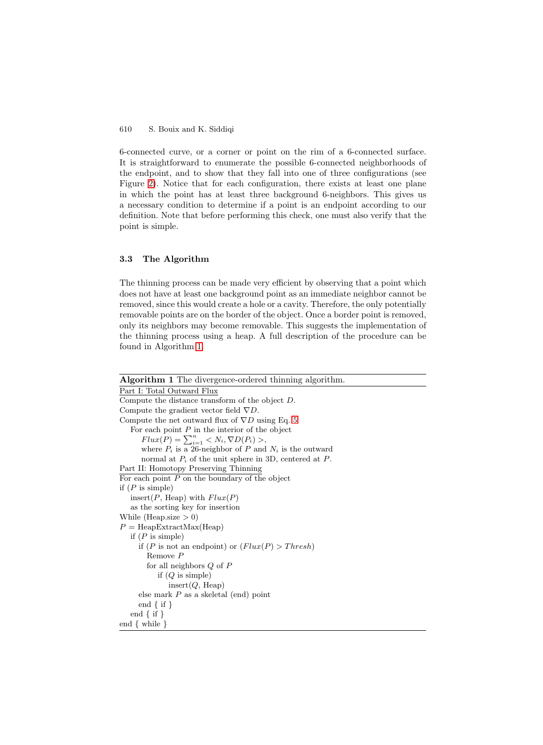6-connected curve, or a corner or point on the rim of a 6-connected surface. It is straightforward to enumerate the possible 6-connected neighborhoods of the endpoint, and to show that they fall into one of three configurations (see Figure [2\)](#page-6-0). Notice that for each configuration, there exists at least one plane in which the point has at least three background 6-neighbors. This gives us a necessary condition to determine if a point is an endpoint according to our definition. Note that before performing this check, one must also verify that the point is simple.

# **3.3 The Algorithm**

The thinning process can be made very efficient by observing that a point which does not have at least one background point as an immediate neighbor cannot be removed, since this would create a hole or a cavity. Therefore, the only potentially removable points are on the border of the object. Once a border point is removed, only its neighbors may become removable. This suggests the implementation of the thinning process using a heap. A full description of the procedure can be found in Algorithm 1.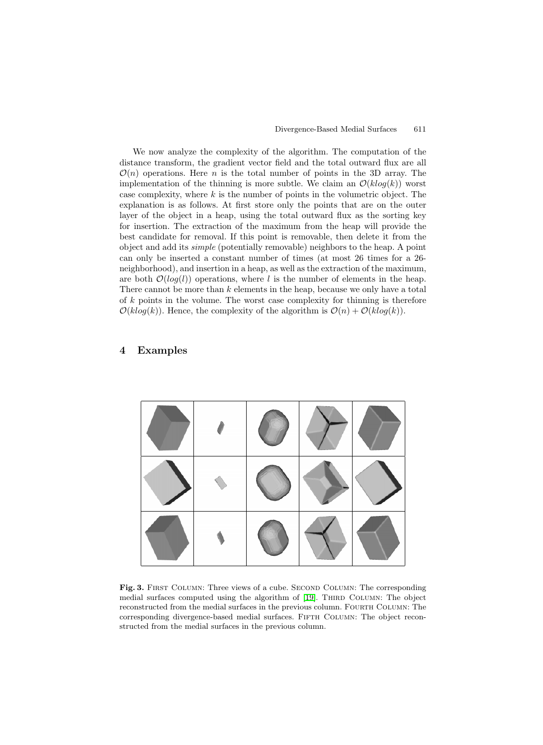<span id="page-8-0"></span>We now analyze the complexity of the algorithm. The computation of the distance transform, the gradient vector field and the total outward flux are all  $\mathcal{O}(n)$  operations. Here *n* is the total number of points in the 3D array. The implementation of the thinning is more subtle. We claim an  $\mathcal{O}(k \log(k))$  worst case complexity, where  $k$  is the number of points in the volumetric object. The explanation is as follows. At first store only the points that are on the outer layer of the object in a heap, using the total outward flux as the sorting key for insertion. The extraction of the maximum from the heap will provide the best candidate for removal. If this point is removable, then delete it from the object and add its simple (potentially removable) neighbors to the heap. A point can only be inserted a constant number of times (at most 26 times for a 26 neighborhood), and insertion in a heap, as well as the extraction of the maximum, are both  $\mathcal{O}(log(l))$  operations, where l is the number of elements in the heap. There cannot be more than  $k$  elements in the heap, because we only have a total of  $k$  points in the volume. The worst case complexity for thinning is therefore  $\mathcal{O}(k \log(k))$ . Hence, the complexity of the algorithm is  $\mathcal{O}(n) + \mathcal{O}(k \log(k))$ .

### **4 Examples**



Fig. 3. FIRST COLUMN: Three views of a cube. SECOND COLUMN: The corresponding medial surfaces computed using the algorithm of [\[19\]](#page-14-0). THIRD COLUMN: The object reconstructed from the medial surfaces in the previous column. FOURTH COLUMN: The corresponding divergence-based medial surfaces. Fifth Column: The object reconstructed from the medial surfaces in the previous column.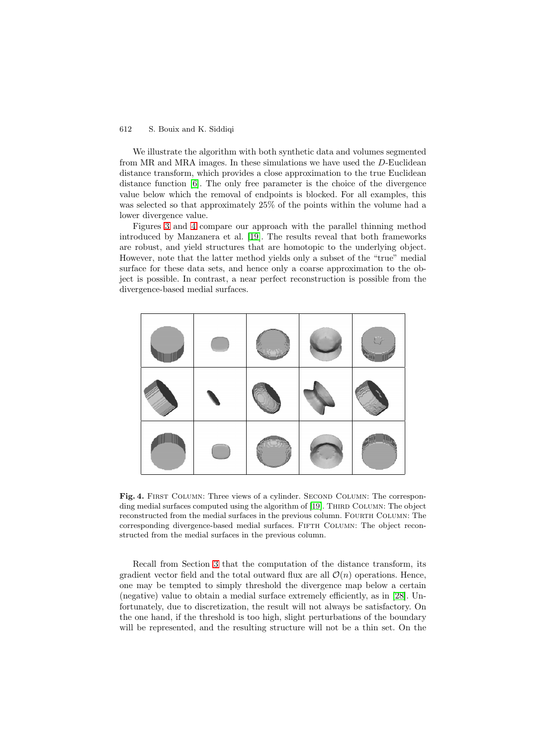We illustrate the algorithm with both synthetic data and volumes segmented from MR and MRA images. In these simulations we have used the D-Euclidean distance transform, which provides a close approximation to the true Euclidean distance function [\[6\]](#page-14-0). The only free parameter is the choice of the divergence value below which the removal of endpoints is blocked. For all examples, this was selected so that approximately 25% of the points within the volume had a lower divergence value.

Figures [3](#page-8-0) and 4 compare our approach with the parallel thinning method introduced by Manzanera et al. [\[19\]](#page-14-0). The results reveal that both frameworks are robust, and yield structures that are homotopic to the underlying object. However, note that the latter method yields only a subset of the "true" medial surface for these data sets, and hence only a coarse approximation to the object is possible. In contrast, a near perfect reconstruction is possible from the divergence-based medial surfaces.

Fig. 4. FIRST COLUMN: Three views of a cylinder. SECOND COLUMN: The correspon-ding medial surfaces computed using the algorithm of [\[19\]](#page-14-0). THIRD COLUMN: The object reconstructed from the medial surfaces in the previous column. Fourth Column: The corresponding divergence-based medial surfaces. FIFTH COLUMN: The object reconstructed from the medial surfaces in the previous column.

Recall from Section [3](#page-4-0) that the computation of the distance transform, its gradient vector field and the total outward flux are all  $\mathcal{O}(n)$  operations. Hence, one may be tempted to simply threshold the divergence map below a certain (negative) value to obtain a medial surface extremely efficiently, as in [\[28\]](#page-15-0). Unfortunately, due to discretization, the result will not always be satisfactory. On the one hand, if the threshold is too high, slight perturbations of the boundary will be represented, and the resulting structure will not be a thin set. On the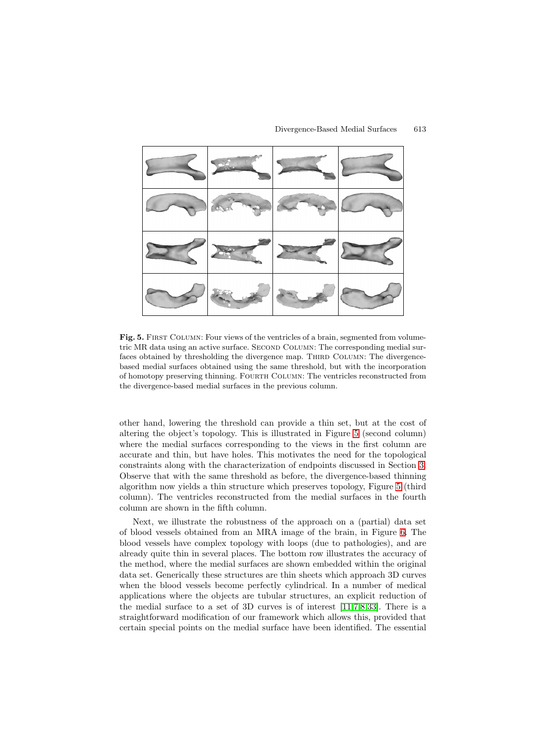

**Fig. 5.** FIRST COLUMN: Four views of the ventricles of a brain, segmented from volumetric MR data using an active surface. Second Column: The corresponding medial surfaces obtained by thresholding the divergence map. THIRD COLUMN: The divergencebased medial surfaces obtained using the same threshold, but with the incorporation of homotopy preserving thinning. Fourth Column: The ventricles reconstructed from the divergence-based medial surfaces in the previous column.

other hand, lowering the threshold can provide a thin set, but at the cost of altering the object's topology. This is illustrated in Figure 5 (second column) where the medial surfaces corresponding to the views in the first column are accurate and thin, but have holes. This motivates the need for the topological constraints along with the characterization of endpoints discussed in Section [3.](#page-4-0) Observe that with the same threshold as before, the divergence-based thinning algorithm now yields a thin structure which preserves topology, Figure 5 (third column). The ventricles reconstructed from the medial surfaces in the fourth column are shown in the fifth column.

Next, we illustrate the robustness of the approach on a (partial) data set of blood vessels obtained from an MRA image of the brain, in Figure [6.](#page-11-0) The blood vessels have complex topology with loops (due to pathologies), and are already quite thin in several places. The bottom row illustrates the accuracy of the method, where the medial surfaces are shown embedded within the original data set. Generically these structures are thin sheets which approach 3D curves when the blood vessels become perfectly cylindrical. In a number of medical applications where the objects are tubular structures, an explicit reduction of the medial surface to a set of 3D curves is of interest [\[11,7,8,](#page-14-0)[33\]](#page-15-0). There is a straightforward modification of our framework which allows this, provided that certain special points on the medial surface have been identified. The essential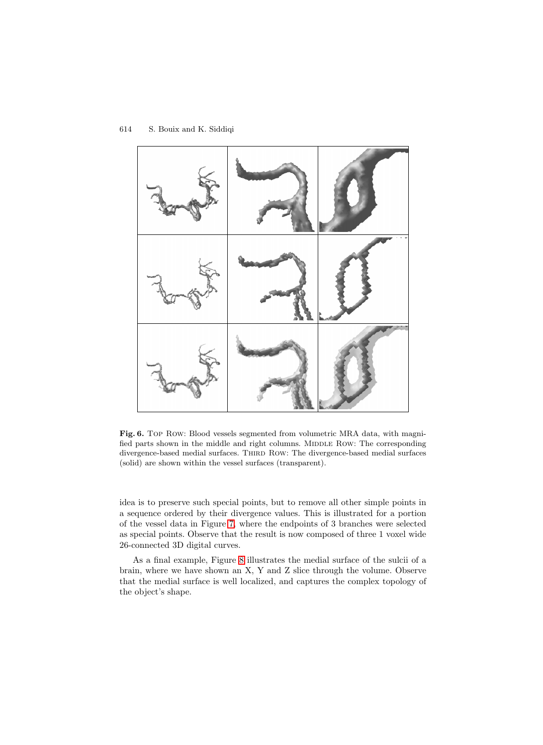<span id="page-11-0"></span>

**Fig. 6.** Top Row: Blood vessels segmented from volumetric MRA data, with magnified parts shown in the middle and right columns. MIDDLE ROW: The corresponding divergence-based medial surfaces. THIRD ROW: The divergence-based medial surfaces (solid) are shown within the vessel surfaces (transparent).

idea is to preserve such special points, but to remove all other simple points in a sequence ordered by their divergence values. This is illustrated for a portion of the vessel data in Figure [7,](#page-12-0) where the endpoints of 3 branches were selected as special points. Observe that the result is now composed of three 1 voxel wide 26-connected 3D digital curves.

As a final example, Figure [8](#page-13-0) illustrates the medial surface of the sulcii of a brain, where we have shown an X, Y and Z slice through the volume. Observe that the medial surface is well localized, and captures the complex topology of the object's shape.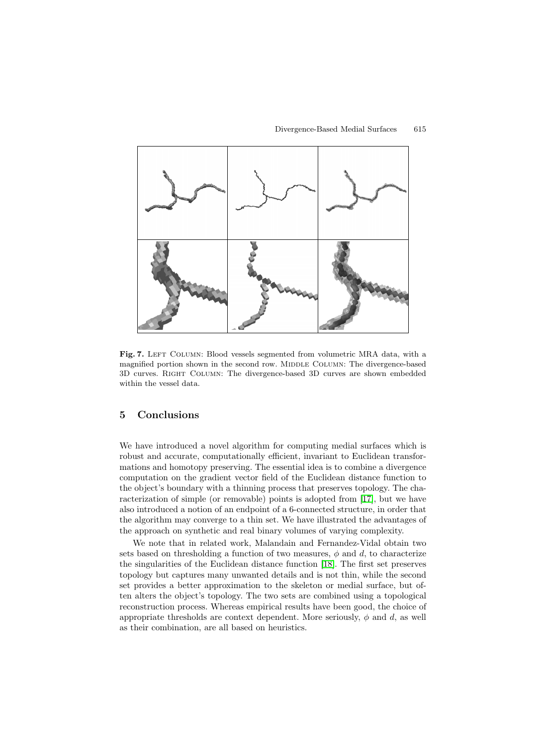<span id="page-12-0"></span>

**Fig. 7.** LEFT COLUMN: Blood vessels segmented from volumetric MRA data, with a magnified portion shown in the second row. MIDDLE COLUMN: The divergence-based 3D curves. Right Column: The divergence-based 3D curves are shown embedded within the vessel data.

## **5 Conclusions**

We have introduced a novel algorithm for computing medial surfaces which is robust and accurate, computationally efficient, invariant to Euclidean transformations and homotopy preserving. The essential idea is to combine a divergence computation on the gradient vector field of the Euclidean distance function to the object's boundary with a thinning process that preserves topology. The characterization of simple (or removable) points is adopted from [\[17\]](#page-14-0), but we have also introduced a notion of an endpoint of a 6-connected structure, in order that the algorithm may converge to a thin set. We have illustrated the advantages of the approach on synthetic and real binary volumes of varying complexity.

We note that in related work, Malandain and Fernandez-Vidal obtain two sets based on thresholding a function of two measures,  $\phi$  and d, to characterize the singularities of the Euclidean distance function [\[18\]](#page-14-0). The first set preserves topology but captures many unwanted details and is not thin, while the second set provides a better approximation to the skeleton or medial surface, but often alters the object's topology. The two sets are combined using a topological reconstruction process. Whereas empirical results have been good, the choice of appropriate thresholds are context dependent. More seriously,  $\phi$  and d, as well as their combination, are all based on heuristics.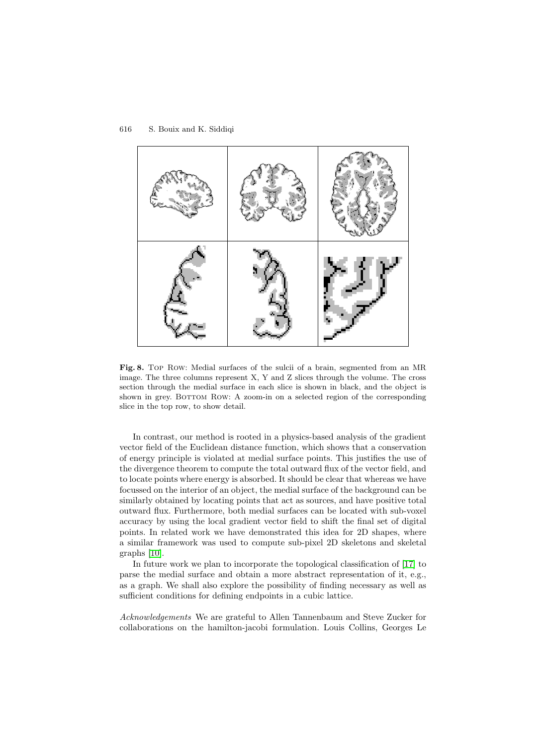<span id="page-13-0"></span>

**Fig. 8.** Top Row: Medial surfaces of the sulcii of a brain, segmented from an MR image. The three columns represent X, Y and Z slices through the volume. The cross section through the medial surface in each slice is shown in black, and the object is shown in grey. BOTTOM ROW: A zoom-in on a selected region of the corresponding slice in the top row, to show detail.

In contrast, our method is rooted in a physics-based analysis of the gradient vector field of the Euclidean distance function, which shows that a conservation of energy principle is violated at medial surface points. This justifies the use of the divergence theorem to compute the total outward flux of the vector field, and to locate points where energy is absorbed. It should be clear that whereas we have focussed on the interior of an object, the medial surface of the background can be similarly obtained by locating points that act as sources, and have positive total outward flux. Furthermore, both medial surfaces can be located with sub-voxel accuracy by using the local gradient vector field to shift the final set of digital points. In related work we have demonstrated this idea for 2D shapes, where a similar framework was used to compute sub-pixel 2D skeletons and skeletal graphs [\[10\]](#page-14-0).

In future work we plan to incorporate the topological classification of [\[17\]](#page-14-0) to parse the medial surface and obtain a more abstract representation of it, e.g., as a graph. We shall also explore the possibility of finding necessary as well as sufficient conditions for defining endpoints in a cubic lattice.

Acknowledgements We are grateful to Allen Tannenbaum and Steve Zucker for collaborations on the hamilton-jacobi formulation. Louis Collins, Georges Le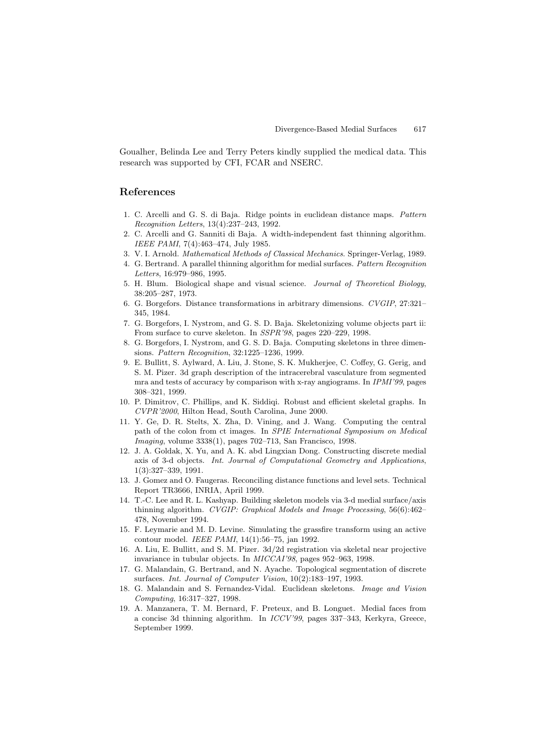<span id="page-14-0"></span>Goualher, Belinda Lee and Terry Peters kindly supplied the medical data. This research was supported by CFI, FCAR and NSERC.

# **References**

- 1. C. Arcelli and G. S. di Baja. Ridge points in euclidean distance maps. Pattern Recognition Letters, 13(4):237–243, 1992.
- 2. C. Arcelli and G. Sanniti di Baja. A width-independent fast thinning algorithm. IEEE PAMI, 7(4):463–474, July 1985.
- 3. V. I. Arnold. Mathematical Methods of Classical Mechanics. Springer-Verlag, 1989.
- 4. G. Bertrand. A parallel thinning algorithm for medial surfaces. Pattern Recognition Letters, 16:979–986, 1995.
- 5. H. Blum. Biological shape and visual science. Journal of Theoretical Biology, 38:205–287, 1973.
- 6. G. Borgefors. Distance transformations in arbitrary dimensions. CVGIP, 27:321– 345, 1984.
- 7. G. Borgefors, I. Nystrom, and G. S. D. Baja. Skeletonizing volume objects part ii: From surface to curve skeleton. In SSPR'98, pages 220–229, 1998.
- 8. G. Borgefors, I. Nystrom, and G. S. D. Baja. Computing skeletons in three dimensions. Pattern Recognition, 32:1225–1236, 1999.
- 9. E. Bullitt, S. Aylward, A. Liu, J. Stone, S. K. Mukherjee, C. Coffey, G. Gerig, and S. M. Pizer. 3d graph description of the intracerebral vasculature from segmented mra and tests of accuracy by comparison with x-ray angiograms. In *IPMI'99*, pages 308–321, 1999.
- 10. P. Dimitrov, C. Phillips, and K. Siddiqi. Robust and efficient skeletal graphs. In CVPR'2000, Hilton Head, South Carolina, June 2000.
- 11. Y. Ge, D. R. Stelts, X. Zha, D. Vining, and J. Wang. Computing the central path of the colon from ct images. In SPIE International Symposium on Medical Imaging, volume 3338(1), pages 702–713, San Francisco, 1998.
- 12. J. A. Goldak, X. Yu, and A. K. abd Lingxian Dong. Constructing discrete medial axis of 3-d objects. Int. Journal of Computational Geometry and Applications, 1(3):327–339, 1991.
- 13. J. Gomez and O. Faugeras. Reconciling distance functions and level sets. Technical Report TR3666, INRIA, April 1999.
- 14. T.-C. Lee and R. L. Kashyap. Building skeleton models via 3-d medial surface/axis thinning algorithm. CVGIP: Graphical Models and Image Processing, 56(6):462– 478, November 1994.
- 15. F. Leymarie and M. D. Levine. Simulating the grassfire transform using an active contour model. IEEE PAMI, 14(1):56–75, jan 1992.
- 16. A. Liu, E. Bullitt, and S. M. Pizer. 3d/2d registration via skeletal near projective invariance in tubular objects. In MICCAI'98, pages 952–963, 1998.
- 17. G. Malandain, G. Bertrand, and N. Ayache. Topological segmentation of discrete surfaces. Int. Journal of Computer Vision,  $10(2):183-197$ , 1993.
- 18. G. Malandain and S. Fernandez-Vidal. Euclidean skeletons. Image and Vision Computing, 16:317–327, 1998.
- 19. A. Manzanera, T. M. Bernard, F. Preteux, and B. Longuet. Medial faces from a concise 3d thinning algorithm. In  $ICCV'99$ , pages 337–343, Kerkyra, Greece, September 1999.